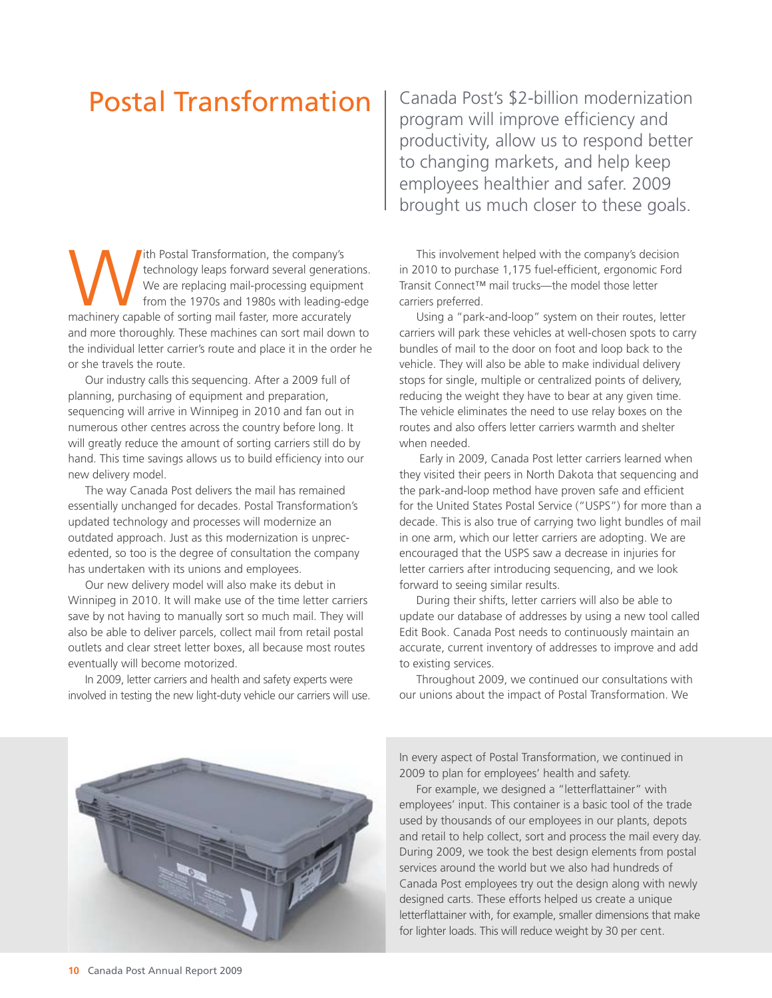## Postal Transformation

With Postal Transformation, the company's<br>
technology leaps forward several generatic<br>
We are replacing mail-processing equipme<br>
from the 1970s and 1980s with leading-ec<br>
machinery capable of sorting mail faster, more accu technology leaps forward several generations. We are replacing mail-processing equipment from the 1970s and 1980s with leading-edge and more thoroughly. These machines can sort mail down to the individual letter carrier's route and place it in the order he or she travels the route.

Our industry calls this sequencing. After a 2009 full of planning, purchasing of equipment and preparation, sequencing will arrive in Winnipeg in 2010 and fan out in numerous other centres across the country before long. It will greatly reduce the amount of sorting carriers still do by hand. This time savings allows us to build efficiency into our new delivery model.

The way Canada Post delivers the mail has remained essentially unchanged for decades. Postal Transformation's updated technology and processes will modernize an outdated approach. Just as this modernization is unprecedented, so too is the degree of consultation the company has undertaken with its unions and employees.

Our new delivery model will also make its debut in Winnipeg in 2010. It will make use of the time letter carriers save by not having to manually sort so much mail. They will also be able to deliver parcels, collect mail from retail postal outlets and clear street letter boxes, all because most routes eventually will become motorized.

In 2009, letter carriers and health and safety experts were involved in testing the new light-duty vehicle our carriers will use.

Canada Post's \$2-billion modernization program will improve efficiency and productivity, allow us to respond better to changing markets, and help keep employees healthier and safer. 2009 brought us much closer to these goals.

This involvement helped with the company's decision in 2010 to purchase 1,175 fuel-efficient, ergonomic Ford Transit Connect™ mail trucks—the model those letter carriers preferred.

Using a "park-and-loop" system on their routes, letter carriers will park these vehicles at well-chosen spots to carry bundles of mail to the door on foot and loop back to the vehicle. They will also be able to make individual delivery stops for single, multiple or centralized points of delivery, reducing the weight they have to bear at any given time. The vehicle eliminates the need to use relay boxes on the routes and also offers letter carriers warmth and shelter when needed.

 Early in 2009, Canada Post letter carriers learned when they visited their peers in North Dakota that sequencing and the park-and-loop method have proven safe and efficient for the United States Postal Service ("USPS") for more than a decade. This is also true of carrying two light bundles of mail in one arm, which our letter carriers are adopting. We are encouraged that the USPS saw a decrease in injuries for letter carriers after introducing sequencing, and we look forward to seeing similar results.

During their shifts, letter carriers will also be able to update our database of addresses by using a new tool called Edit Book. Canada Post needs to continuously maintain an accurate, current inventory of addresses to improve and add to existing services.

Throughout 2009, we continued our consultations with our unions about the impact of Postal Transformation. We



In every aspect of Postal Transformation, we continued in 2009 to plan for employees' health and safety.

For example, we designed a "letterflattainer" with employees' input. This container is a basic tool of the trade used by thousands of our employees in our plants, depots and retail to help collect, sort and process the mail every day. During 2009, we took the best design elements from postal services around the world but we also had hundreds of Canada Post employees try out the design along with newly designed carts. These efforts helped us create a unique letterflattainer with, for example, smaller dimensions that make for lighter loads. This will reduce weight by 30 per cent.